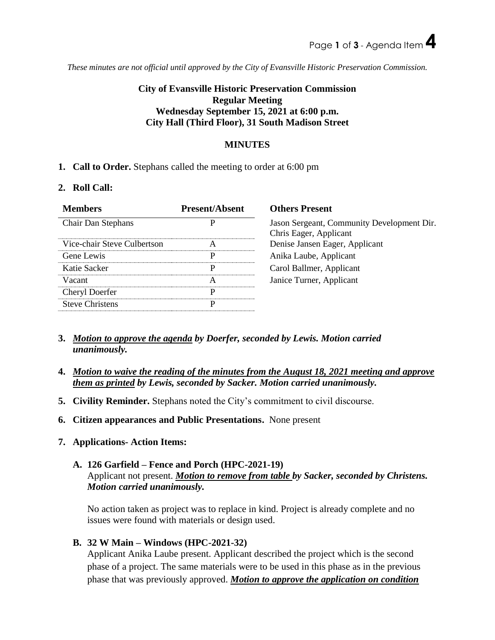*These minutes are not official until approved by the City of Evansville Historic Preservation Commission.*

# **City of Evansville Historic Preservation Commission Regular Meeting Wednesday September 15, 2021 at 6:00 p.m. City Hall (Third Floor), 31 South Madison Street**

### **MINUTES**

### **1. Call to Order.** Stephans called the meeting to order at 6:00 pm

#### **2. Roll Call:**

| <b>Members</b>              | <b>Present/Absent</b> | <b>Others Present</b>                                                |
|-----------------------------|-----------------------|----------------------------------------------------------------------|
| Chair Dan Stephans          | P                     | Jason Sergeant, Community Development Dir.<br>Chris Eager, Applicant |
| Vice-chair Steve Culbertson | А                     | Denise Jansen Eager, Applicant                                       |
| Gene Lewis                  | P                     | Anika Laube, Applicant                                               |
| Katie Sacker                | р                     | Carol Ballmer, Applicant                                             |
| Vacant                      | A                     | Janice Turner, Applicant                                             |
| <b>Cheryl Doerfer</b>       | р                     |                                                                      |
| <b>Steve Christens</b>      | P                     |                                                                      |

- **3.** *Motion to approve the agenda by Doerfer, seconded by Lewis. Motion carried unanimously.*
- **4.** *Motion to waive the reading of the minutes from the August 18, 2021 meeting and approve them as printed by Lewis, seconded by Sacker. Motion carried unanimously.*
- **5. Civility Reminder.** Stephans noted the City's commitment to civil discourse.
- **6. Citizen appearances and Public Presentations.** None present
- **7. Applications- Action Items:**

# **A. 126 Garfield – Fence and Porch (HPC-2021-19)** Applicant not present. *Motion to remove from table by Sacker, seconded by Christens. Motion carried unanimously.*

No action taken as project was to replace in kind. Project is already complete and no issues were found with materials or design used.

**B. 32 W Main – Windows (HPC-2021-32)** 

Applicant Anika Laube present. Applicant described the project which is the second phase of a project. The same materials were to be used in this phase as in the previous phase that was previously approved. *Motion to approve the application on condition*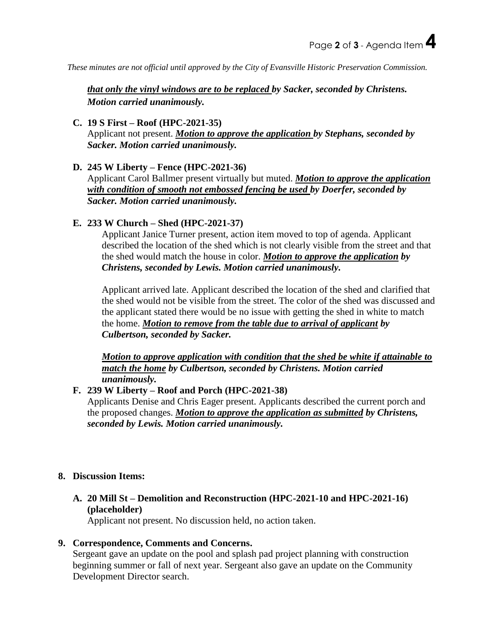*These minutes are not official until approved by the City of Evansville Historic Preservation Commission.*

*that only the vinyl windows are to be replaced by Sacker, seconded by Christens. Motion carried unanimously.*

### **C. 19 S First – Roof (HPC-2021-35)**

Applicant not present. *Motion to approve the application by Stephans, seconded by Sacker. Motion carried unanimously.*

### **D. 245 W Liberty – Fence (HPC-2021-36)**

Applicant Carol Ballmer present virtually but muted. *Motion to approve the application with condition of smooth not embossed fencing be used by Doerfer, seconded by Sacker. Motion carried unanimously.*

### **E. 233 W Church – Shed (HPC-2021-37)**

Applicant Janice Turner present, action item moved to top of agenda. Applicant described the location of the shed which is not clearly visible from the street and that the shed would match the house in color. *Motion to approve the application by Christens, seconded by Lewis. Motion carried unanimously.*

Applicant arrived late. Applicant described the location of the shed and clarified that the shed would not be visible from the street. The color of the shed was discussed and the applicant stated there would be no issue with getting the shed in white to match the home. *Motion to remove from the table due to arrival of applicant by Culbertson, seconded by Sacker.*

*Motion to approve application with condition that the shed be white if attainable to match the home by Culbertson, seconded by Christens. Motion carried unanimously.*

# **F. 239 W Liberty – Roof and Porch (HPC-2021-38)**

Applicants Denise and Chris Eager present. Applicants described the current porch and the proposed changes. *Motion to approve the application as submitted by Christens, seconded by Lewis. Motion carried unanimously.*

#### **8. Discussion Items:**

# **A. 20 Mill St – Demolition and Reconstruction (HPC-2021-10 and HPC-2021-16) (placeholder)**

Applicant not present. No discussion held, no action taken.

# **9. Correspondence, Comments and Concerns.**

Sergeant gave an update on the pool and splash pad project planning with construction beginning summer or fall of next year. Sergeant also gave an update on the Community Development Director search.